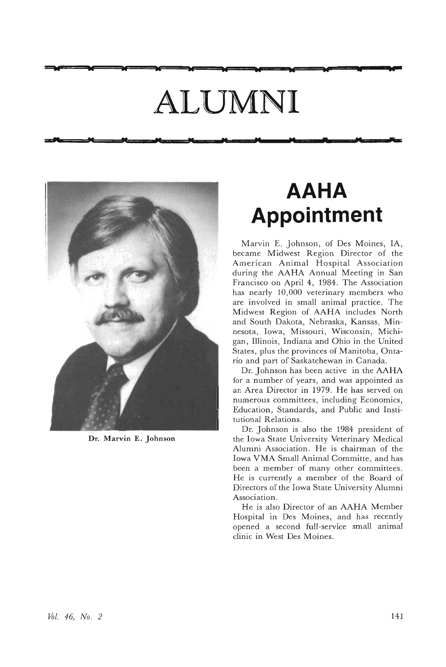## **ALUMNI**

~A **W W W <sup>W</sup> <sup>W</sup> <sup>W</sup> <sup>W</sup> <sup>W</sup> <sup>U</sup> t:.:""**



**.,** " " " " "

Dr. Marvin E. Johnson

### **AAHA Appointment**

" " " 'CI **r..**

Marvin E. Johnson, of Des Moines, lA, became Midwest Region Director of the American Animal Hospital Association during the AAHA Annual Meeting in San Francisco on April 4, 1984. The Association has nearly 10,000 veterinary members who are involved in small animal practice. The Midwest Region of AAHA includes North and South Dakota, Nebraska, Kansas, Minnesota, Iowa, Missouri, Wisconsin, Michigan, Illinois, Indiana and Ohio in the United States, plus the provinces of Manitoba, Ontario and part of Saskatchewan in Canada.

Dr. Johnson has been active in the AAHA for a number of years, and was appointed as an Area Director in 1979. He has served on numerous committees, including Economics, Education, Standards, and Public and Institu tional Relations.

Dr. Johnson is also the 1984 president of the Iowa State University Veterinary Medical Alumni Association. He is chairman of the Iowa VMA Small Animal Committe, and has been a member of many other committees. He is currently a member of the Board of Directors of the Iowa State University Alumni Association.

He is also Director of an AAHA Member Hospital in Des Moines, and has recently opened a second full-service small animal clinic in West Des Moines.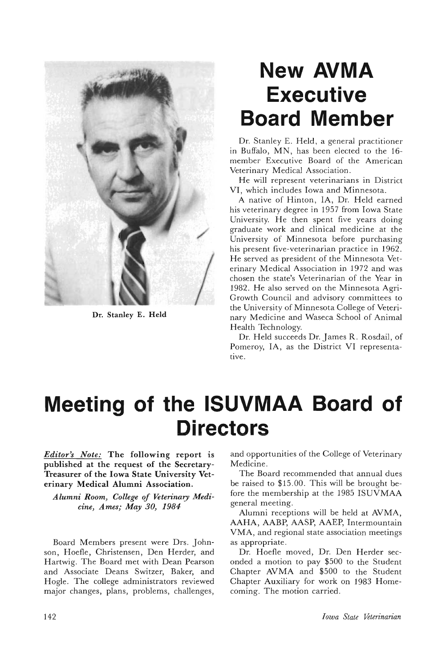

Dr. Stanley E. Held

### **New AVMA Executive Board Member**

Dr. Stanley E. Held, a general practitioner in Buffalo, MN, has been elected to the 16 member Executive Board of the American Veterinary Medical Association.

He will represent veterinarians in District VI, which includes Iowa and Minnesota.

A native of Hinton, lA, Dr. Held earned his veterinary degree in 1957 from Iowa State University. He then spent five years doing graduate work and clinical medicine at the University of Minnesota before purchasing his present five-veterinarian practice in 1962. He served as president of the Minnesota Veterinary Medical Association in 1972 and was chosen the state's Veterinarian of the Year in 1982. He also served on the Minnesota Agri-Growth Council and advisory committees to the University of Minnesota College of Veterinary Medicine and Waseca School of Animal Health Technology.

Dr. Held succeeds Dr. James R. Rosdail, of Pomeroy, lA, as the District VI representative.

### **Meeting of the ISUVMAA Board of Directors**

*Editor's Note:* The following report is published at the request of the Secretary-Treasurer of the Iowa State University Veterinary Medical Alumni Association.

*Alumni Room, College of Veterinary Medicine, Ames; May 30, 1984*

Board Members present were Drs. Johnson, Hoefle, Christensen, Den Herder, and Hartwig. The Board met with Dean Pearson and Associate Deans Switzer, Baker, and Hogle. The college administrators reviewed major changes, plans, problems, challenges, and opportunities of the College of Veterinary Medicine.

The Board recommended that annual dues be raised to \$15.00. This will be brought before the membership at the 1985 ISUVMAA general meeting.

Alumni receptions will be held at AVMA, AAHA, AABP, AASP, AAEP, Intermountain VMA, and regional state association meetings as appropriate.

Dr. Hoefle moved, Dr. Den Herder seconded a motion to pay \$500 to the Student Chapter AVMA and \$500 to the Student Chapter Auxiliary for work on 1983 Homecoming. The motion carried.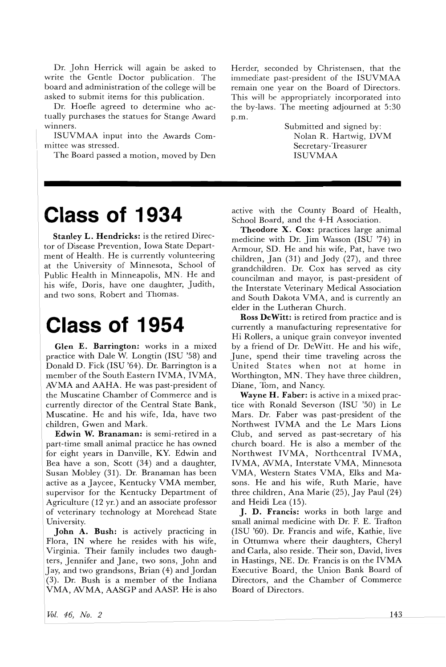Dr. John Herrick will again be asked to write the Gentle Doctor publication. The board and administration of the college will be asked to submit items for this publication.

Dr. Hoefle agreed to determine who actually purchases the statues for Stange Award WInners.

ISUVMAA input into the Awards Committee was stressed.

The Board passed a motion, moved by Den

### **Class of 1934**

Stanley L. Hendricks: is the retired Director of Disease Prevention, Iowa State Department of Health. He is currently volunteering at the University of Minnesota, School of Public Health in Minneapolis, MN. He and his wife, Doris, have one daughter, Judith, and two sons, Robert and Thomas.

### **Class of 1954**

Glen E. Barrington: works in a mixed practice with Dale W. Longtin (ISD '58) and Donald D. Fick (ISU '64). Dr. Barrington is a member of the South Eastern IVMA, IVMA, AVMA and AAHA. He was past-president of the Muscatine Chamber of Commerce and is currently director of the Central State Bank, Muscatine. He and his wife, Ida, have two children, Gwen and Mark.

Edwin W. Branaman: is semi-retired in a part-time small animal practice he has owned for eight years in Danville, KY. Edwin and Bea have a son, Scott (34) and a daughter, Susan Mobley (31). Dr. Branaman has been active as a Jaycee, Kentucky VMA member, supervisor for the Kentucky Department of Agriculture (12 yr.) and an associate professor of veterinary technology at Morehead State University.

John A. Bush: is actively practicing in Flora, IN where he resides with his wife, Virginia. Their family includes two daughters, Jennifer and Jane, two sons, John and Jay, and two grandsons, Brian (4) and Jordan (3). Dr. Bush is a member of the Indiana VMA, AVMA, AASGP and AASP. He is also Herder, seconded by Christensen, that the immediate past-president of the ISUVMAA remain one year on the Board of Directors. This will be appropriately incorporated into the by-laws. The meeting adjourned at 5:30 p.m.

> Submitted and signed by: Nolan R. Hartwig, DVM Secretary-Treasurer ISUVMAA

active with the County Board of Health, School Board, and the 4-H Association.

Theodore X. Cox: practices large animal medicine with Dr. Jim Wasson (ISD '74) in Armour, SD. He and his wife, Pat, have two children, Jan (31) and Jody (27), and three grandchildren. Dr. Cox has served as city councilman and mayor, is past-president of the Interstate Veterinary Medical Association and South Dakota VMA, and is currently an elder in the Lutheran Church.

Ross DeWitt: is retired from practice and is currently a manufacturing representative for Hi Rollers, a unique grain conveyor invented by a friend of Dr. DeWitt. He and his wife, June, spend their time traveling across the United States when not at home in Worthington, MN. They have three children, Diane, Tom, and Nancy.

Wayne H. Faber: is active in a mixed practice with Ronald Severson (ISD '50) in Le Mars. Dr. Faber was past-president of the Northwest IVMA and the Le Mars Lions Club, and served as past-secretary of his church board. He is also a member of the Northwest IVMA, Northcentral IVMA, IVMA, AVMA, Interstate VMA, Minnesota VMA, Western States VMA, Elks and Masons. He and his wife, Ruth Marie, have three children, Ana Marie (25), Jay Paul (24) and Heidi Lea (15).

J. D. Francis: works in both large and small animal medicine with Dr. F. E. Trafton (ISD '60). Dr. Francis and wife, Kathie, live in Ottumwa where their daughters, Cheryl and Carla, also reside. Their son, David, lives in Hastings, NE. Dr. Francis is on the IVMA Executive Board, the Union Bank Board of Directors, and the Chamber of Commerce Board of Directors.

*Vol.* 46, *No.2*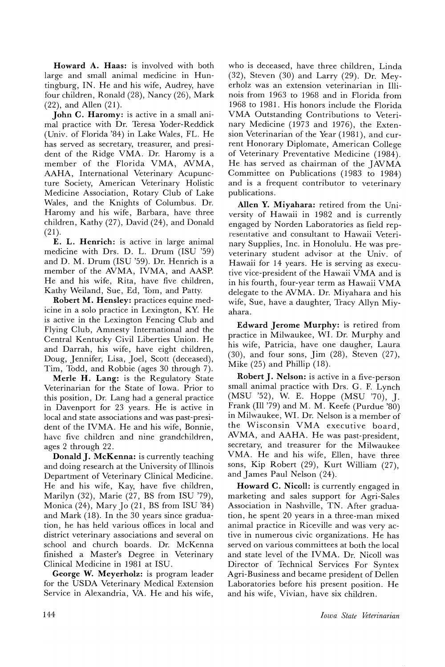Howard A. Haas: is involved with both large and small animal medicine in Huntingburg, IN. He and his wife, Audrey, have four children, Ronald (28), Nancy (26), Mark (22), and Allen (21).

John C. Haromy: is active in a small animal practice with Dr. Teresa Yoder-Reddick (Univ. of Florida '84) in Lake Wales, FL. He has served as secretary, treasurer, and president of the Ridge VMA. Dr. Haromy is a member of the Florida VMA, AVMA, AAHA, International Veterinary Acupuncture Society, American Veterinary Holistic Medicine Association, Rotary Club of Lake Wales, and the Knights of Columbus. Dr. Haromy and his wife, Barbara, have three children, Kathy (27), David (24), and Donald  $(21)$ .

E. L. Henrich: is active in large animal medicine with Drs. D. L. Drum (ISU '59) and D. M. Drum (ISU '59). Dr. Henrich is a member of the AVMA, IVMA, and AASP. He and his wife, Rita, have five children, Kathy Weiland, Sue, Ed, Tom, and Patty.

Robert M. Hensley: practices equine medicine in a solo practice in Lexington, KY. He is active in the Lexington Fencing Club and Flying Club, Amnesty International and the Central Kentucky Civil Liberties Union. He and Darrah, his wife, have eight children, Doug, Jennifer, Lisa, Joel, Scott (deceased), Tim, Todd, and Robbie (ages 30 through 7).

Merle H. Lang: is the Regulatory State Veterinarian for the State of Iowa. Prior to this position, Dr. Lang had a general practice in Davenport for 23 years. He is active in local and state associations and was past-president of the IVMA. He and his wife, Bonnie, have five children and nine grandchildren, ages 2 through 22.

Donald J. McKenna: is currently teaching and doing research at the University of Illinois Department of Veterinary Clinical Medicine. He and his wife, Kay, have five children, Marilyn (32), Marie (27, BS from ISU '79), Monica (24), Mary Jo (21, BS from ISU '84) and Mark (18). In the 30 years since graduation, he has held various offices in local and district veterinary associations and several on school and church boards. Dr. McKenna finished a Master's Degree in Veterinary Clinical Medicine in 1981 at ISU.

George W. Meyerholz: is program leader for the USDA Veterinary Medical Extension Service in Alexandria, VA. He and his wife,

who is deceased, have three children, Linda (32), Steven (30) and Larry (29). Dr. Meyerholz was an extension veterinarian in Illinois from 1963 to 1968 and in Florida from 1968 to 1981. His honors include the Florida VMA Outstanding Contributions to Veterinary Medicine (1973 and 1976), the Extension Veterinarian of the Year (1981), and current Honorary Diplomate, American College of Veterinary Preventative Medicine (1984). He has served as chairman of the JAVMA Committee on Publications (1983 to 1984) and is a frequent contributor to veterinary publications.

Allen Y. Miyahara: retired from the University of Hawaii in 1982 and is currently engaged by Norden Laboratories as field representative and consultant to Hawaii Veterinary Supplies, Inc. in Honolulu. He was preveterinary student advisor at the Univ. of Hawaii for 14 years. He is serving as executive vice-president of the Hawaii VMA and is in his fourth, four-year term as Hawaii VMA delegate to the AVMA. Dr. Miyahara and his wife, Sue, have a daughter, Tracy Allyn Miyahara.

Edward Jerome Murphy: is retired from practice in Milwaukee, WI. Dr. Murphy and his wife, Patricia, have one daugher, Laura (30), and four sons, Jim (28), Steven (27), Mike (25) and Phillip (18).

Robert J. Nelson: is active in a five-person small animal practice with Drs. G. F. Lynch (MSU '52), W. E. Hoppe (MSU '70), J. Frank (Ill '79) and M. M. Keefe (Purdue '80) in Milwaukee, WI. Dr. Nelson is a member of the Wisconsin VMA executive board, AVMA, and AAHA. He was past-president, secretary, and treasurer for the Milwaukee VMA. He and his wife, Ellen, have three sons, Kip Robert (29), Kurt William (27), and James Paul Nelson (24).

Howard C. Nicoll: is currently engaged in marketing and sales support for Agri-Sales Association in Nashville, TN. After graduation, he spent 20 years in a three-man mixed animal practice in Riceville and was very active in numerous civic organizations. He has served on various committees at both the local and state level of the IVMA. Dr. Nicoll was Director of Technical Services For Syntex Agri-Business and became president of Dellen Laboratories before his present position. He and his wife, Vivian, have six children.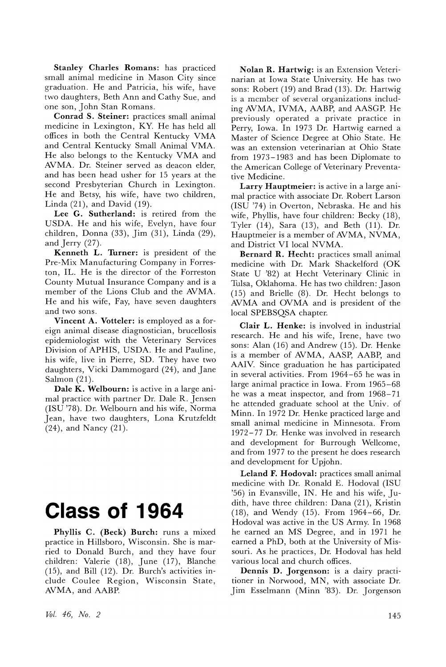Stanley Charles Romans: has practiced small animal medicine in Mason City since graduation. He and Patricia, his wife, have two daughters, Beth Ann and Cathy Sue, and one son, John Stan Romans.

Conrad S. Steiner: practices small animal medicine in Lexington, KY. He has held all offices in both the Central Kentucky VMA and Central Kentucky Small Animal VMA. He also belongs to the Kentucky VMA and AVMA. Dr. Steiner served as deacon elder, and has been head usher for 15 years at the second Presbyterian Church in Lexington. He and Betsy, his wife, have two children, Linda (21), and David (19).

Lee G. Sutherland: is retired from the USDA. He and his wife, Evelyn, have four children, Donna (33), Jim (31), Linda (29), and Jerry (27).

Kenneth L. Turner: is president of the Pre-Mix Manufacturing Company in Forreston, IL. He is the director of the Forreston County Mutual Insurance Company and is a member of the Lions Club and the AVMA. He and his wife, Fay, have seven daughters and two sons.

Vincent A. Votteler: is employed as a foreign animal disease diagnostician, brucellosis epidemiologist with the Veterinary Services Division of APHIS, USDA. He and Pauline, his wife, live in Pierre, SD. They have two daughters, Vicki Dammogard (24), and Jane Salmon (21).

Dale K. Welbourn: is active in a large animal practice with partner Dr. Dale R. Jensen (ISU '78). Dr. Welbourn and his wife, Norma Jean, have two daughters, Lona Krutzfeldt (24), and Nancy (21).

### **Class of 1964**

Phyllis C. (Beck) Burch: runs a mixed practice in Hillsboro, Wisconsin. She is married to Donald Burch, and they have four children: Valerie (18), June (17), Blanche (15), and Bill (12). Dr. Burch's activities include Coulee Region, Wisconsin State, AVMA, and AABP.

Nolan R. Hartwig: is an Extension Veterinarian at Iowa State University. He has two sons: Robert (19) and Brad (13). Dr. Hartwig is a member of several organizations including AVMA, IVMA, AABP, and AASGP. He previously operated a private practice in Perry, Iowa. In 1973 Dr. Hartwig earned a Master of Science Degree at Ohio State. He was an extension veterinarian at Ohio State from 1973-1983 and has been Diplomate to the American College of Veterinary Preventative Medicine.

Larry Hauptmeier: is active in a large animal practice with associate Dr. Robert Larson (ISU '74) in Overton, Nebraska. He and his wife, Phyllis, have four children: Becky (18), Tyler (14), Sara (13), and Beth (11). Dr. Hauptmeier is a member of AVMA, NVMA, and District VI local NVMA.

Bernard R. Hecht: practices small animal medicine with Dr. Mark Shackelford (OK State U '82) at Hecht Veterinary Clinic in Tulsa, Oklahoma. He has two children: Jason (15) and Brielle (8). Dr. Hecht belongs to AVMA and OVMA and is president of the local SPEBSQSA chapter.

Clair L. Henke: is involved in industrial research. He and his wife, Irene, have two sons: Alan (16) and Andrew (15). Dr. Henke is a member of AVMA, AASP, AABP, and AAIV. Since graduation he has participated in several activities. From 1964-65 he was in large animal practice in Iowa. From 1965-68 he was a meat inspector, and from 1968-71 he attended graduate school at the Univ. of Minn. In 1972 Dr. Henke practiced large and small animal medicine in Minnesota. From 1972-77 Dr. Henke was involved in research and development for Burrough Wellcome, and from 1977 to the present he does research and development for Upjohn.

Leland F. Hodoval: practices small animal medicine with Dr. Ronald E. Hodoval (ISU '56) in Evansville, IN. He and his wife, Judith, have three children: Dana (21), Kristin (18), and Wendy (15). From 1964-66, Dr. Hodoval was active in the US Army. In 1968 he earned an MS Degree, and in 1971 he earned a PhD, both at the University of Missouri. As he practices, Dr. Hodoval has held various local and church offices.

Dennis D. Jorgenson: is a dairy practitioner in Norwood, MN, with associate Dr. Jim Esselmann (Minn '83). Dr. Jorgenson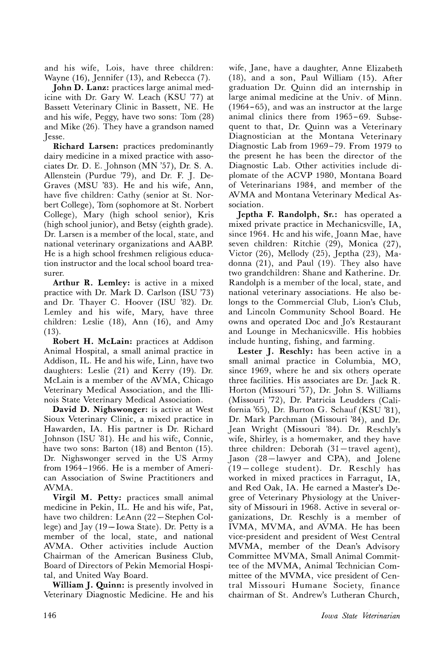and his wife, Lois, have three children: Wayne (16), Jennifer (13), and Rebecca (7).

**John D. Lanz:** practices large animal medicine with Dr. Gary W. Leach (KSU '77) at Bassett Veterinary Clinic in Bassett, NE. He and his wife, Peggy, have two sons: Tom (28) and Mike (26). They have a grandson named Jesse.

**Richard Larsen:** practices predominantly dairy medicine in a mixed practice with associates Dr. D. E. Johnson (MN '57), Dr. S. A. Allenstein (Purdue '79), and Dr. F. J. De-Graves (MSU '83). He and his wife, Ann, have five children: Cathy (senior at St. Norbert College), Tom (sophomore at St. Norbert College), Mary (high school senior), Kris (high school junior), and Betsy (eighth grade). Dr. Larsen is a member of the local, state, and national veterinary organizations and AABP. He is a high school freshmen religious education instructor and the local school board treasurer.

**Arthur R. Lemley:** is active in a mixed practice with Dr. Mark D. Carlson (ISU '73) and Dr. Thayer C. Hoover (ISU '82). Dr. Lemley and his wife, Mary, have three children: Leslie (18), Ann (16), and Amy (13).

**Robert H. McLain:** practices at Addison Animal Hospital, a small animal practice in Addison, IL. He and his wife, Linn, have two daughters: Leslie (21) and Kerry (19). Dr. McLain is a member of the AVMA, Chicago Veterinary Medical Association, and the Illinois State Veterinary Medical Association.

**David D. Nighswonger:** is active at West Sioux Veterinary Clinic, a mixed practice in Hawarden, IA. His partner is Dr. Richard Johnson (ISU '81). He and his \vifc, Connie, have two sons: Barton (18) and Benton (15). Dr. Nighswonger served in the US Army from 1964-1966. He is a member of American Association of Swine Practitioners and AVMA.

**Virgil M. Petty:** practices small animal medicine in Pekin, IL. He and his wife, Pat, have two children: LeAnn (22 - Stephen College) and  $\text{Iay } (19-\text{Iowa State})$ . Dr. Petty is a member of the local, state, and national AVMA. Other activities include Auction Chairman of the American Business Club, Board of Directors of Pekin Memorial Hospital, and United Way Board.

**William J. Quinn:** is presently involved in Veterinary Diagnostic Medicine. He and his wife, Jane, have a daughter, Anne Elizabeth (18), and a son, Paul William (15). After graduation Dr. Quinn did an internship in large animal medicine at the Univ. of Minn.  $(1964 - 65)$ , and was an instructor at the large animal clinics there from 1965-69. Subsequent to that, Dr. Quinn was a Veterinary Diagnostician at the Montana Veterinary Diagnostic Lab from 1969-79. From 1979 to the present he has been the director of the Diagnostic Lab. Other activities include diplomate of the ACVP 1980, Montana Board of Veterinarians 1984, and member of the AVMA and Montana Veterinary Medical Association.

**Jeptha F. Randolph, Sr.:** has operated a mixed private practice in Mechanicsville, lA, since 1964. Hc and his wife, Joann Mae, have seven children: Ritchie (29), Monica (27), Victor (26), Mellody (25), Jeptha (23), Madonna (21), and Paul (19). They also have two grandchildren: Shane and Katherine. Dr. Randolph is a member of the local, state, and national veterinary associations. He also belongs to the Commercial Club, Lion's Club, and Lincoln Community School Board. He owns and operated Doc and Jo's Restaurant and Lounge in Mechanicsville. His hobbies include hunting, fishing, and farming.

**Lester J. Reschly:** has been active in a small animal practice in Columbia, MO, since 1969, where he and six others operate three facilities. His associates are Dr: Jack R. Horton (Missouri '57), Dr. John S. Williams (Missouri '72), Dr. Patricia Leudders (California '65), Dr. Burton G. Schauf (KSU '81), Dr. Mark Parchman (Missouri '84), and Dr. Jean Wright (Missouri '84). Dr. Reschly's wife, Shirley, is a homemaker, and they have three children: Deborah  $(31 -$ travel agent), Jason (28-lawyer and CPA), and Jolene (19-college student). Dr. Reschly has worked in mixed practices in Farragut, lA, and Red Oak, IA. He earned a Master's Degree of Veterinary Physiology at the University of Missouri in 1968. Active in several organizations, Dr. Reschly is a member of IVMA, MVMA, and AVMA. He has been vice-president and president of West Central MVMA, member of the Dean's Advisory Committee MVMA, Small Animal Committee of the MVMA, Animal Technician Committee of the MVMA, vice president of Central Missouri Humane Society, finance chairman of St. Andrew's Lutheran Church,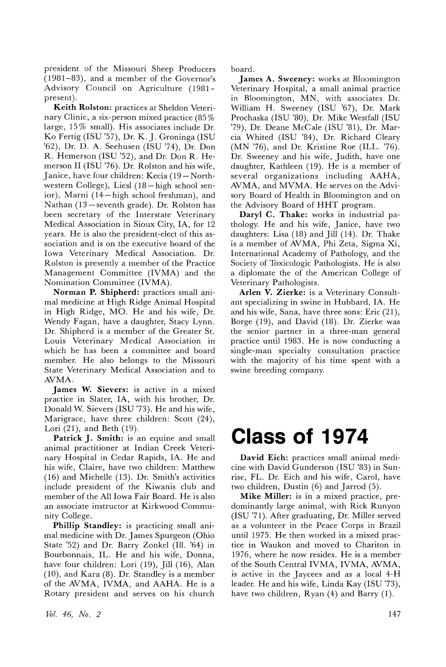president of the Missouri Sheep Producers (1981-83), and a member of the Governor's Advisory Council on Agriculture (1981 present).

Keith Rolston: practices at Sheldon Veterinary Clinic, a six-person mixed practice (85 % large, 15 % small). His associates include Dr. Ko Fertig (ISU '57), Dr. K. J. Groninga (ISU '62), Dr. D. A. Seehusen (ISU '74), Dr. Don R. Hemerson (ISU '52), and Dr. Don R. Hemerson II (ISU '76). Dr. Rolston and his wife, Janice, have four children: Kecia (19-Northwestern College), Liesl (18-high school senior), Marni (14-high school freshman), and Nathan (13-seventh grade). Dr. Rolston has been secretary of the Interstate Veterinary Medical Association in Sioux City, lA, for 12 years. He is also the president-elect of this association and is on the executive board of the Iowa Veterinary Medical Association. Dr. Rolston is presently a member of the Practice Management Committee (IVMA) and the Nomination Committee (IVMA).

Norman P. Shipherd: practices small animal medicine at High Ridge Animal Hospital in High Ridge, MO. He and his wife, Dr. Wendy Fagan, have a daughter, Stacy Lynn. Dr. Shipherd is a member of the Greater St. Louis Veterinary Medical Association in which he has been a committee and board member. He also belongs to the Missouri State Veterinary Medical Association and to AVMA.

James W. Sievers: is active in a mixed practice in Slater, lA, with his brother, Dr. Donald W. Sievers (ISU '73). He and his wife, Marigrace, have three children: Scott (24), Lori (21), and Beth (19).

Patrick J. Smith: is an equine and small animal practitioner at Indian Creek Veterinary Hospital in Cedar Rapids, IA. He and his wife, Claire, have two children: Matthew (16) and Michelle (13). Dr. Smith's activities include president of the Kiwanis club and member of the All Iowa Fair Board. He is also an associate instructor at Kirkwood Community College.

Phillip Standley: is practicing small animal medicine with Dr. James Spurgeon (Ohio State '52) and Dr. Barry Zonkel (Ill. '64) in Bourbonnais, IL. He and his wife, Donna, have four children: Lori (19), Jill (16), Alan (10), and Kara (8). Dr. Standley is a member of the AVMA, IVMA, and AAHA. He is a Rotary president and serves on his church

vol. 46) *No.2*

board.

James A. Sweeney: works at Bloomington Veterinary Hospital, a small animal practice in Bloomington, MN, with associates Dr. William H. Sweeney (ISU '67), Dr. Mark Prochaska (ISU '80), Dr. Mike Westfall (ISU '79), Dr. Deane McCale (ISU '81), Dr. Marcia Whited (ISU '84), Dr. Richard Cleary (MN '76), and Dr. Kristine Roe (ILL. '76). Dr. Sweeney and his wife, Judith, have one daughter, Kathleen (19). He is a member of several organizations including AAHA, AVMA, and MVMA. He serves on the Advisory Board of Health in Bloomington and on the Advisory Board of HHT program.

Daryl C. Thake: works in industrial pathology. He and his wife, Janice, have two daughters: Lisa (18) and Jill (14). Dr. Thake is a member of AVMA, Phi Zeta, Sigma Xi, International Academy of Pathology, and the Society of Toxicologic Pathologists. He is also a diplomate the of the American College of Veterinary Pathologists.

Arlen V. Zierke: is a Veterinary Consultant specializing in swine in Hubbard, IA. He and his wife, Sana, have three sons: Eric (21), Borge (19), and David (18). Dr. Zierke was the senior partner in a three-man general practice until 1983. He is now conducting a single-man specialty consultation practice with the majority of his time spent with a swine breeding company.

### **Class of 1974**

David Eich: practices small animal medicine with David Gunderson (ISU '83) in Sunrise, FL. Dr. Eich and his wife, Carol, have two children, Dustin  $(6)$  and Jarrod  $(5)$ .

Mike Miller: is in a mixed practice, predominantly large animal, with Rick Runyon (ISU '71). After graduating, Dr. Miller served as a volunteer in the Peace Corps in Brazil until 1975. He then worked in a mixed practice in Waukon and moved to Chariton in 1976, where he now resides. He is a member of the South Central IVMA, IVMA, AVMA, is active in the Jaycees and as a local 4-H leader. He and his wife, Linda Kay (ISU '73), have two children, Ryan (4) and Barry (1).